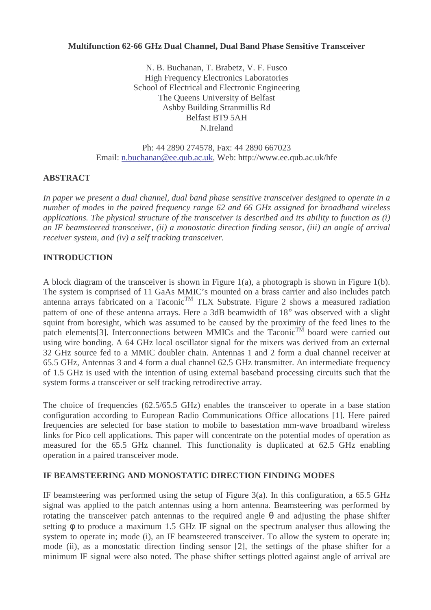# **Multifunction 62-66 GHz Dual Channel, Dual Band Phase Sensitive Transceiver**

N. B. Buchanan, T. Brabetz, V. F. Fusco High Frequency Electronics Laboratories School of Electrical and Electronic Engineering The Queens University of Belfast Ashby Building Stranmillis Rd Belfast BT9 5AH N.Ireland

Ph: 44 2890 274578, Fax: 44 2890 667023 Email: n.buchanan@ee.qub.ac.uk, Web: http://www.ee.qub.ac.uk/hfe

## **ABSTRACT**

*In paper we present a dual channel, dual band phase sensitive transceiver designed to operate in a number of modes in the paired frequency range 62 and 66 GHz assigned for broadband wireless applications. The physical structure of the transceiver is described and its ability to function as (i) an IF beamsteered transceiver, (ii) a monostatic direction finding sensor, (iii) an angle of arrival receiver system, and (iv) a self tracking transceiver.*

## **INTRODUCTION**

A block diagram of the transceiver is shown in Figure 1(a), a photograph is shown in Figure 1(b). The system is comprised of 11 GaAs MMIC's mounted on a brass carrier and also includes patch antenna arrays fabricated on a Taconic<sup>TM</sup> TLX Substrate. Figure 2 shows a measured radiation pattern of one of these antenna arrays. Here a 3dB beamwidth of 18° was observed with a slight squint from boresight, which was assumed to be caused by the proximity of the feed lines to the patch elements<sup>[3]</sup>. Interconnections between MMICs and the Taconic<sup>TM</sup> board were carried out using wire bonding. A 64 GHz local oscillator signal for the mixers was derived from an external 32 GHz source fed to a MMIC doubler chain. Antennas 1 and 2 form a dual channel receiver at 65.5 GHz, Antennas 3 and 4 form a dual channel 62.5 GHz transmitter. An intermediate frequency of 1.5 GHz is used with the intention of using external baseband processing circuits such that the system forms a transceiver or self tracking retrodirective array.

The choice of frequencies (62.5/65.5 GHz) enables the transceiver to operate in a base station configuration according to European Radio Communications Office allocations [1]. Here paired frequencies are selected for base station to mobile to basestation mm-wave broadband wireless links for Pico cell applications. This paper will concentrate on the potential modes of operation as measured for the 65.5 GHz channel. This functionality is duplicated at 62.5 GHz enabling operation in a paired transceiver mode.

## **IF BEAMSTEERING AND MONOSTATIC DIRECTION FINDING MODES**

IF beamsteering was performed using the setup of Figure 3(a). In this configuration, a 65.5 GHz signal was applied to the patch antennas using a horn antenna. Beamsteering was performed by rotating the transceiver patch antennas to the required angle θ and adjusting the phase shifter setting φ to produce a maximum 1.5 GHz IF signal on the spectrum analyser thus allowing the system to operate in; mode (i), an IF beamsteered transceiver. To allow the system to operate in; mode (ii), as a monostatic direction finding sensor [2], the settings of the phase shifter for a minimum IF signal were also noted. The phase shifter settings plotted against angle of arrival are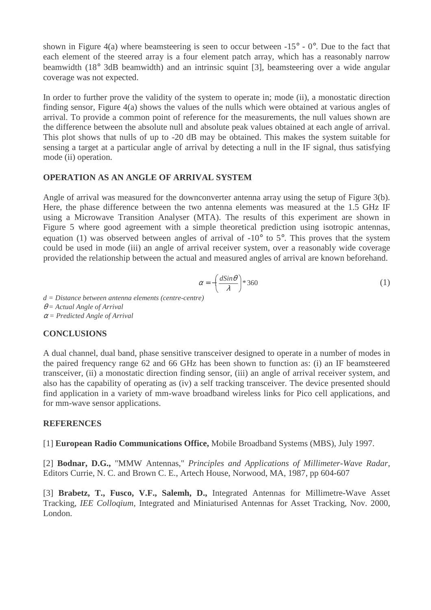shown in Figure 4(a) where beamsteering is seen to occur between  $-15^{\circ}$  -  $0^{\circ}$ . Due to the fact that each element of the steered array is a four element patch array, which has a reasonably narrow beamwidth (18° 3dB beamwidth) and an intrinsic squint [3], beamsteering over a wide angular coverage was not expected.

In order to further prove the validity of the system to operate in; mode (ii), a monostatic direction finding sensor, Figure 4(a) shows the values of the nulls which were obtained at various angles of arrival. To provide a common point of reference for the measurements, the null values shown are the difference between the absolute null and absolute peak values obtained at each angle of arrival. This plot shows that nulls of up to -20 dB may be obtained. This makes the system suitable for sensing a target at a particular angle of arrival by detecting a null in the IF signal, thus satisfying mode (ii) operation.

### **OPERATION AS AN ANGLE OF ARRIVAL SYSTEM**

Angle of arrival was measured for the downconverter antenna array using the setup of Figure 3(b). Here, the phase difference between the two antenna elements was measured at the 1.5 GHz IF using a Microwave Transition Analyser (MTA). The results of this experiment are shown in Figure 5 where good agreement with a simple theoretical prediction using isotropic antennas, equation (1) was observed between angles of arrival of  $-10^{\circ}$  to  $5^{\circ}$ . This proves that the system could be used in mode (iii) an angle of arrival receiver system, over a reasonably wide coverage provided the relationship between the actual and measured angles of arrival are known beforehand.

$$
\alpha = -\left(\frac{d\sin\theta}{\lambda}\right) * 360\tag{1}
$$

*d = Distance between antenna elements (centre-centre)* θ *= Actual Angle of Arrival*

<sup>α</sup> *= Predicted Angle of Arrival*

### **CONCLUSIONS**

A dual channel, dual band, phase sensitive transceiver designed to operate in a number of modes in the paired frequency range 62 and 66 GHz has been shown to function as: (i) an IF beamsteered transceiver, (ii) a monostatic direction finding sensor, (iii) an angle of arrival receiver system, and also has the capability of operating as (iv) a self tracking transceiver. The device presented should find application in a variety of mm-wave broadband wireless links for Pico cell applications, and for mm-wave sensor applications.

### **REFERENCES**

[1] **European Radio Communications Office,** Mobile Broadband Systems (MBS), July 1997.

[2] **Bodnar, D.G.,** "MMW Antennas," *Principles and Applications of Millimeter-Wave Radar*, Editors Currie, N. C. and Brown C. E., Artech House, Norwood, MA, 1987, pp 604-607

[3] **Brabetz, T., Fusco, V.F., Salemh, D.,** Integrated Antennas for Millimetre-Wave Asset Tracking, *IEE Colloqium,* Integrated and Miniaturised Antennas for Asset Tracking, Nov. 2000, London.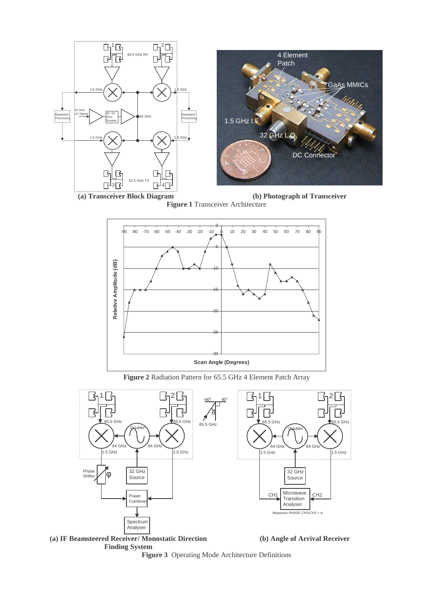





**Figure 2** Radiation Pattern for 65.5 GHz 4 Element Patch Array



**Finding System**



**Figure 3** Operating Mode Architecture Definitions